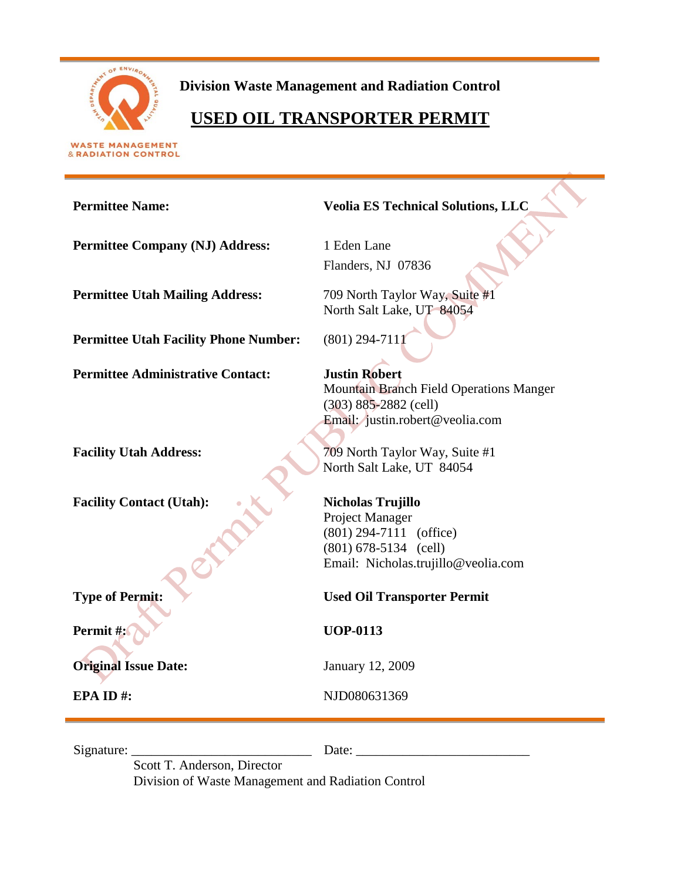

**Division Waste Management and Radiation Control**

# **USED OIL TRANSPORTER PERMIT**

**WASTE MANAGEMENT** & RADIATION CONTROL

# **Permittee Name: Veolia ES Technical Solutions, LLC Permittee Company (NJ) Address:** 1 Eden Lane Flanders, NJ 07836 **Permittee Utah Mailing Address:** 709 North Taylor Way, Suite #1 North Salt Lake, UT 84054 **Permittee Utah Facility Phone Number:** (801) 294-7111 **Permittee Administrative Contact: Justin Robert** Mountain Branch Field Operations Manger (303) 885-2882 (cell) Email: justin.robert@veolia.com **Facility Utah Address:** 709 North Taylor Way, Suite #1 North Salt Lake, UT 84054 Facility Contact (Utah): **Nicholas Trujillo** Project Manager (801) 294-7111 (office) (801) 678-5134 (cell) Email: Nicholas.trujillo@veolia.com **Type of Permit: Used Oil Transporter Permit Permit #:** *W UOP-0113* **Original Issue Date:** January 12, 2009

**EPA ID #:** NJD080631369

Signature: \_\_\_\_\_\_\_\_\_\_\_\_\_\_\_\_\_\_\_\_\_\_\_\_\_\_\_ Date: \_\_\_\_\_\_\_\_\_\_\_\_\_\_\_\_\_\_\_\_\_\_\_\_\_\_

Scott T. Anderson, Director Division of Waste Management and Radiation Control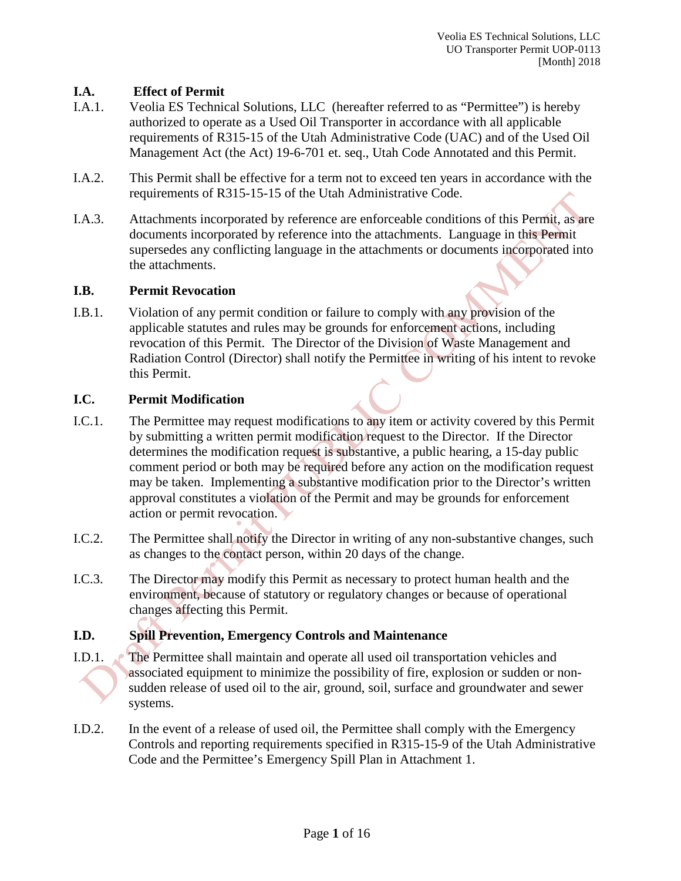# **I.A. Effect of Permit**

- I.A.1. Veolia ES Technical Solutions, LLC (hereafter referred to as "Permittee") is hereby authorized to operate as a Used Oil Transporter in accordance with all applicable requirements of R315-15 of the Utah Administrative Code (UAC) and of the Used Oil Management Act (the Act) 19-6-701 et. seq., Utah Code Annotated and this Permit.
- I.A.2. This Permit shall be effective for a term not to exceed ten years in accordance with the requirements of R315-15-15 of the Utah Administrative Code.
- I.A.3. Attachments incorporated by reference are enforceable conditions of this Permit, as are documents incorporated by reference into the attachments. Language in this Permit supersedes any conflicting language in the attachments or documents incorporated into the attachments.

#### **I.B. Permit Revocation**

I.B.1. Violation of any permit condition or failure to comply with any provision of the applicable statutes and rules may be grounds for enforcement actions, including revocation of this Permit. The Director of the Division of Waste Management and Radiation Control (Director) shall notify the Permittee in writing of his intent to revoke this Permit.

#### **I.C. Permit Modification**

- I.C.1. The Permittee may request modifications to any item or activity covered by this Permit by submitting a written permit modification request to the Director. If the Director determines the modification request is substantive, a public hearing, a 15-day public comment period or both may be required before any action on the modification request may be taken. Implementing a substantive modification prior to the Director's written approval constitutes a violation of the Permit and may be grounds for enforcement action or permit revocation.
- I.C.2. The Permittee shall notify the Director in writing of any non-substantive changes, such as changes to the contact person, within 20 days of the change.
- I.C.3. The Director may modify this Permit as necessary to protect human health and the environment, because of statutory or regulatory changes or because of operational changes affecting this Permit.

#### **I.D. Spill Prevention, Emergency Controls and Maintenance**

- I.D.1. The Permittee shall maintain and operate all used oil transportation vehicles and associated equipment to minimize the possibility of fire, explosion or sudden or nonsudden release of used oil to the air, ground, soil, surface and groundwater and sewer systems.
- I.D.2. In the event of a release of used oil, the Permittee shall comply with the Emergency Controls and reporting requirements specified in R315-15-9 of the Utah Administrative Code and the Permittee's Emergency Spill Plan in Attachment 1.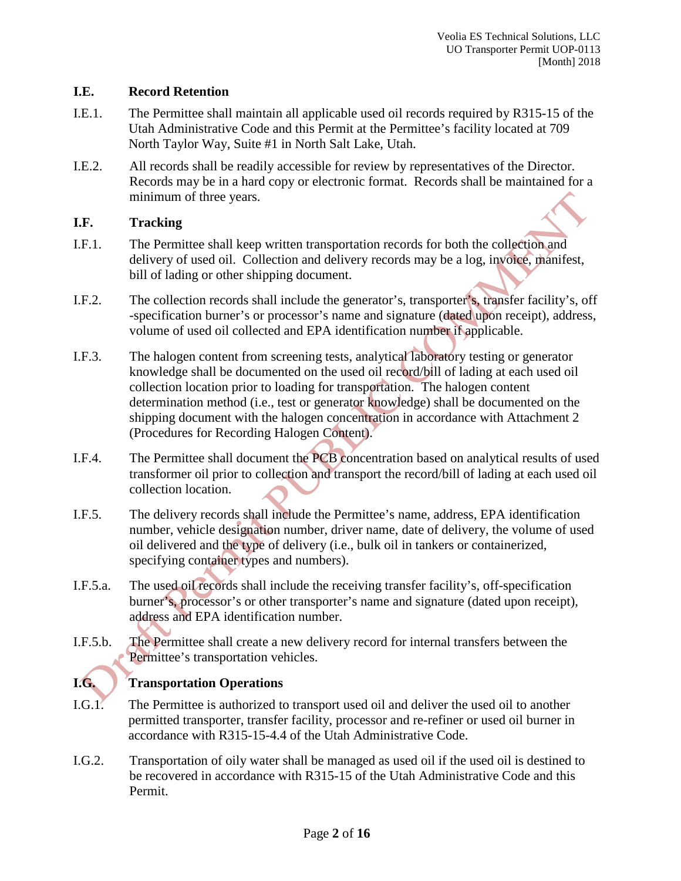#### **I.E. Record Retention**

- I.E.1. The Permittee shall maintain all applicable used oil records required by R315-15 of the Utah Administrative Code and this Permit at the Permittee's facility located at 709 North Taylor Way, Suite #1 in North Salt Lake, Utah.
- I.E.2. All records shall be readily accessible for review by representatives of the Director. Records may be in a hard copy or electronic format. Records shall be maintained for a minimum of three years.

#### **I.F. Tracking**

- I.F.1. The Permittee shall keep written transportation records for both the collection and delivery of used oil. Collection and delivery records may be a log, invoice, manifest, bill of lading or other shipping document.
- I.F.2. The collection records shall include the generator's, transporter's, transfer facility's, off -specification burner's or processor's name and signature (dated upon receipt), address, volume of used oil collected and EPA identification number if applicable.
- I.F.3. The halogen content from screening tests, analytical laboratory testing or generator knowledge shall be documented on the used oil record/bill of lading at each used oil collection location prior to loading for transportation. The halogen content determination method (i.e., test or generator knowledge) shall be documented on the shipping document with the halogen concentration in accordance with Attachment 2 (Procedures for Recording Halogen Content).
- I.F.4. The Permittee shall document the PCB concentration based on analytical results of used transformer oil prior to collection and transport the record/bill of lading at each used oil collection location.
- I.F.5. The delivery records shall include the Permittee's name, address, EPA identification number, vehicle designation number, driver name, date of delivery, the volume of used oil delivered and the type of delivery (i.e., bulk oil in tankers or containerized, specifying container types and numbers).
- I.F.5.a. The used oil records shall include the receiving transfer facility's, off-specification burner's, processor's or other transporter's name and signature (dated upon receipt), address and EPA identification number.
- I.F.5.b. The Permittee shall create a new delivery record for internal transfers between the Permittee's transportation vehicles.

# **I.G. Transportation Operations**

- I.G.1. The Permittee is authorized to transport used oil and deliver the used oil to another permitted transporter, transfer facility, processor and re-refiner or used oil burner in accordance with R315-15-4.4 of the Utah Administrative Code.
- I.G.2. Transportation of oily water shall be managed as used oil if the used oil is destined to be recovered in accordance with R315-15 of the Utah Administrative Code and this Permit.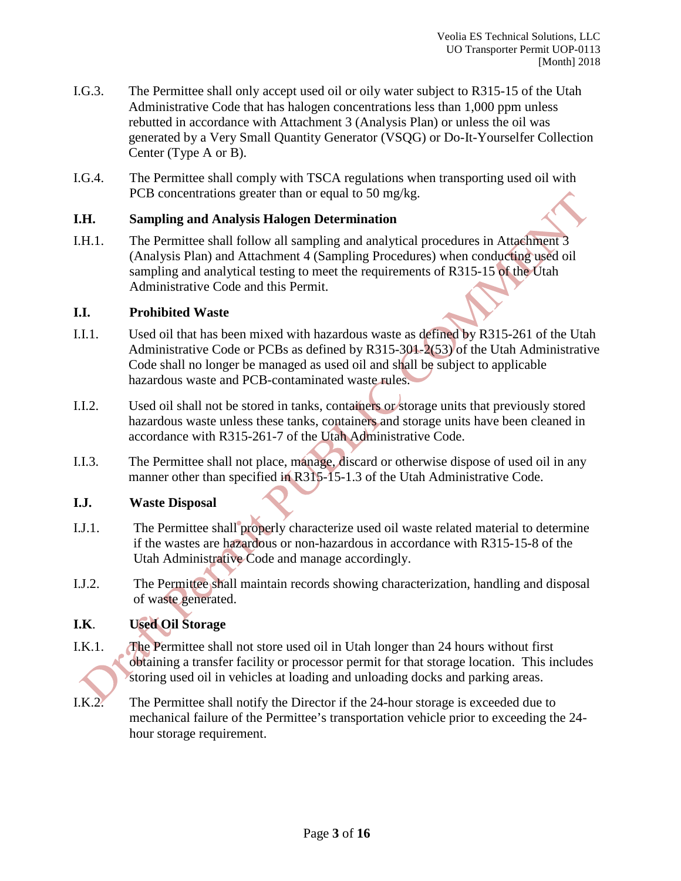- I.G.3. The Permittee shall only accept used oil or oily water subject to R315-15 of the Utah Administrative Code that has halogen concentrations less than 1,000 ppm unless rebutted in accordance with Attachment 3 (Analysis Plan) or unless the oil was generated by a Very Small Quantity Generator (VSQG) or Do-It-Yourselfer Collection Center (Type A or B).
- I.G.4. The Permittee shall comply with TSCA regulations when transporting used oil with PCB concentrations greater than or equal to 50 mg/kg.

#### **I.H. Sampling and Analysis Halogen Determination**

I.H.1. The Permittee shall follow all sampling and analytical procedures in Attachment 3 (Analysis Plan) and Attachment 4 (Sampling Procedures) when conducting used oil sampling and analytical testing to meet the requirements of R315-15 of the Utah Administrative Code and this Permit.

#### **I.I. Prohibited Waste**

- I.I.1. Used oil that has been mixed with hazardous waste as defined by R315-261 of the Utah Administrative Code or PCBs as defined by R315-301-2(53) of the Utah Administrative Code shall no longer be managed as used oil and shall be subject to applicable hazardous waste and PCB-contaminated waste rules.
- I.I.2. Used oil shall not be stored in tanks, containers or storage units that previously stored hazardous waste unless these tanks, containers and storage units have been cleaned in accordance with R315-261-7 of the Utah Administrative Code.
- I.I.3. The Permittee shall not place, manage, discard or otherwise dispose of used oil in any manner other than specified in R315-15-1.3 of the Utah Administrative Code.

#### **I.J. Waste Disposal**

- I.J.1. The Permittee shall properly characterize used oil waste related material to determine if the wastes are hazardous or non-hazardous in accordance with R315-15-8 of the Utah Administrative Code and manage accordingly.
- I.J.2. The Permittee shall maintain records showing characterization, handling and disposal of waste generated.

# **I.K**. **Used Oil Storage**

- I.K.1. The Permittee shall not store used oil in Utah longer than 24 hours without first obtaining a transfer facility or processor permit for that storage location. This includes storing used oil in vehicles at loading and unloading docks and parking areas.
- I.K.2. The Permittee shall notify the Director if the 24-hour storage is exceeded due to mechanical failure of the Permittee's transportation vehicle prior to exceeding the 24 hour storage requirement.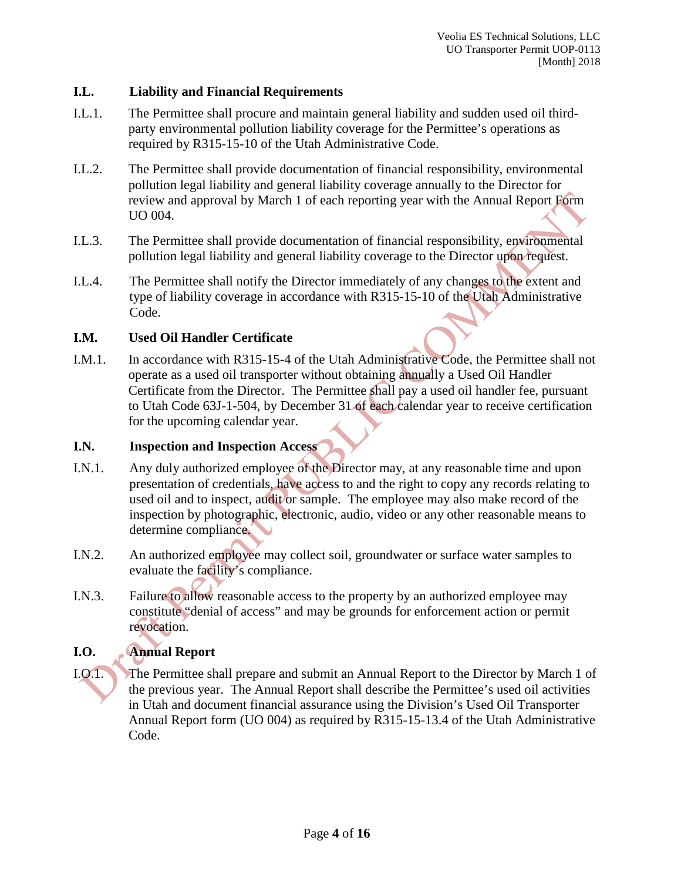#### **I.L. Liability and Financial Requirements**

- I.L.1. The Permittee shall procure and maintain general liability and sudden used oil thirdparty environmental pollution liability coverage for the Permittee's operations as required by R315-15-10 of the Utah Administrative Code.
- I.L.2. The Permittee shall provide documentation of financial responsibility, environmental pollution legal liability and general liability coverage annually to the Director for review and approval by March 1 of each reporting year with the Annual Report Form UO 004.
- I.L.3. The Permittee shall provide documentation of financial responsibility, environmental pollution legal liability and general liability coverage to the Director upon request.
- I.L.4. The Permittee shall notify the Director immediately of any changes to the extent and type of liability coverage in accordance with R315-15-10 of the Utah Administrative Code.

# **I.M. Used Oil Handler Certificate**

I.M.1. In accordance with R315-15-4 of the Utah Administrative Code, the Permittee shall not operate as a used oil transporter without obtaining annually a Used Oil Handler Certificate from the Director. The Permittee shall pay a used oil handler fee, pursuant to Utah Code 63J-1-504, by December 31 of each calendar year to receive certification for the upcoming calendar year.

#### **I.N. Inspection and Inspection Access**

- I.N.1. Any duly authorized employee of the Director may, at any reasonable time and upon presentation of credentials, have access to and the right to copy any records relating to used oil and to inspect, audit or sample. The employee may also make record of the inspection by photographic, electronic, audio, video or any other reasonable means to determine compliance.
- I.N.2. An authorized employee may collect soil, groundwater or surface water samples to evaluate the facility's compliance.
- I.N.3. Failure to allow reasonable access to the property by an authorized employee may constitute "denial of access" and may be grounds for enforcement action or permit revocation.

# **I.O. Annual Report**

I.O.1. The Permittee shall prepare and submit an Annual Report to the Director by March 1 of the previous year. The Annual Report shall describe the Permittee's used oil activities in Utah and document financial assurance using the Division's Used Oil Transporter Annual Report form (UO 004) as required by R315-15-13.4 of the Utah Administrative Code.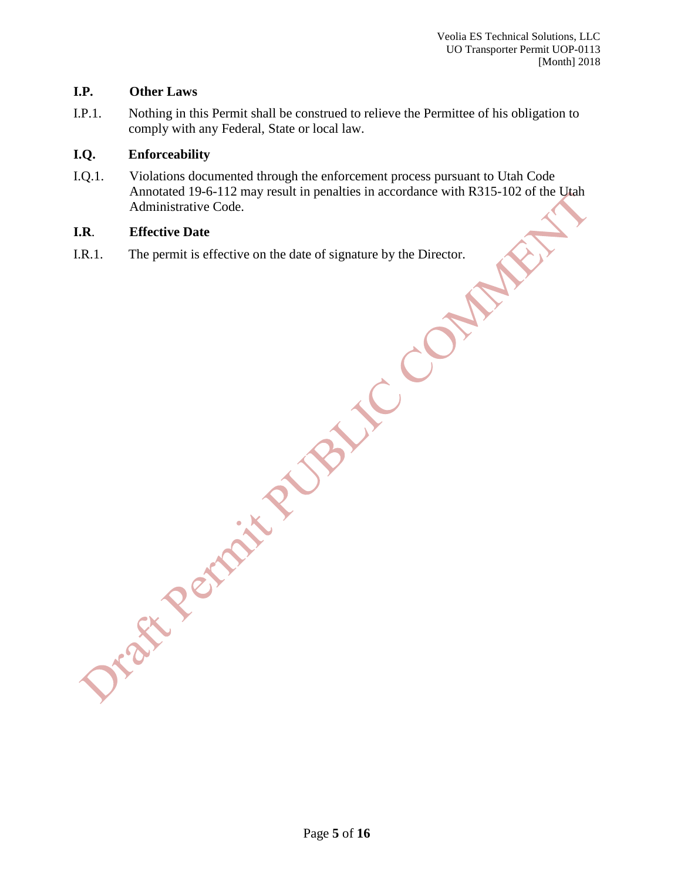#### **I.P. Other Laws**

I.P.1. Nothing in this Permit shall be construed to relieve the Permittee of his obligation to comply with any Federal, State or local law.

#### **I.Q. Enforceability**

I.Q.1. Violations documented through the enforcement process pursuant to Utah Code Annotated 19-6-112 may result in penalties in accordance with R315-102 of the Utah Administrative Code.

# **I.R**. **Effective Date**

I.R.1. The permit is effective on the date of signature by the Director.

Dream Remain R NBINC CON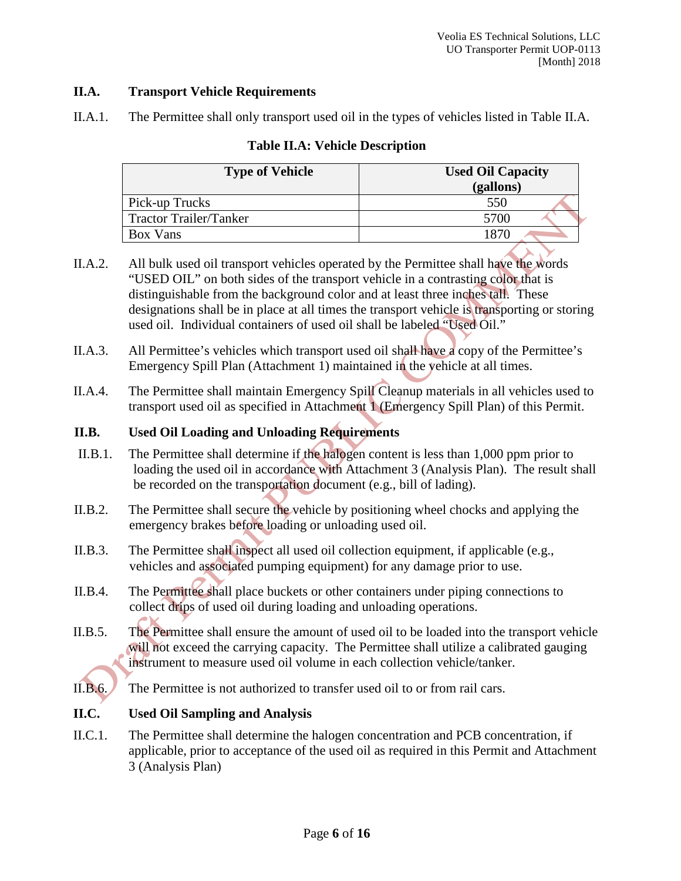#### **II.A. Transport Vehicle Requirements**

II.A.1. The Permittee shall only transport used oil in the types of vehicles listed in Table II.A.

| <b>Type of Vehicle</b>        | <b>Used Oil Capacity</b><br>(gallons) |  |
|-------------------------------|---------------------------------------|--|
| Pick-up Trucks                | 550                                   |  |
| <b>Tractor Trailer/Tanker</b> | 5700                                  |  |
| Box Vans                      | . 87∟                                 |  |

# **Table II.A: Vehicle Description**

- II.A.2. All bulk used oil transport vehicles operated by the Permittee shall have the words "USED OIL" on both sides of the transport vehicle in a contrasting color that is distinguishable from the background color and at least three inches tall. These designations shall be in place at all times the transport vehicle is transporting or storing used oil. Individual containers of used oil shall be labeled "Used Oil."
- II.A.3. All Permittee's vehicles which transport used oil shall have a copy of the Permittee's Emergency Spill Plan (Attachment 1) maintained in the vehicle at all times.
- II.A.4. The Permittee shall maintain Emergency Spill Cleanup materials in all vehicles used to transport used oil as specified in Attachment 1 (Emergency Spill Plan) of this Permit.

# **II.B. Used Oil Loading and Unloading Requirements**

- II.B.1. The Permittee shall determine if the halogen content is less than 1,000 ppm prior to loading the used oil in accordance with Attachment 3 (Analysis Plan). The result shall be recorded on the transportation document (e.g., bill of lading).
- II.B.2. The Permittee shall secure the vehicle by positioning wheel chocks and applying the emergency brakes before loading or unloading used oil.
- II.B.3. The Permittee shall inspect all used oil collection equipment, if applicable (e.g., vehicles and associated pumping equipment) for any damage prior to use.
- II.B.4. The Permittee shall place buckets or other containers under piping connections to collect drips of used oil during loading and unloading operations.
- II.B.5. The Permittee shall ensure the amount of used oil to be loaded into the transport vehicle will not exceed the carrying capacity. The Permittee shall utilize a calibrated gauging instrument to measure used oil volume in each collection vehicle/tanker.
- II.B.6. The Permittee is not authorized to transfer used oil to or from rail cars.

#### **II.C. Used Oil Sampling and Analysis**

II.C.1. The Permittee shall determine the halogen concentration and PCB concentration, if applicable, prior to acceptance of the used oil as required in this Permit and Attachment 3 (Analysis Plan)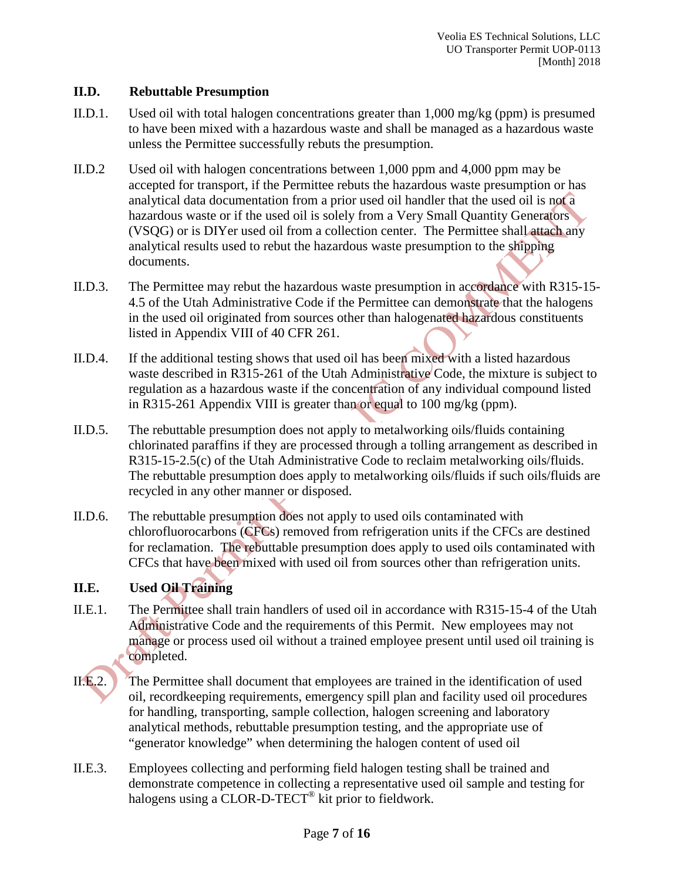#### **II.D. Rebuttable Presumption**

- II.D.1. Used oil with total halogen concentrations greater than 1,000 mg/kg (ppm) is presumed to have been mixed with a hazardous waste and shall be managed as a hazardous waste unless the Permittee successfully rebuts the presumption.
- II.D.2 Used oil with halogen concentrations between 1,000 ppm and 4,000 ppm may be accepted for transport, if the Permittee rebuts the hazardous waste presumption or has analytical data documentation from a prior used oil handler that the used oil is not a hazardous waste or if the used oil is solely from a Very Small Quantity Generators (VSQG) or is DIYer used oil from a collection center. The Permittee shall attach any analytical results used to rebut the hazardous waste presumption to the shipping documents.
- II.D.3. The Permittee may rebut the hazardous waste presumption in accordance with R315-15- 4.5 of the Utah Administrative Code if the Permittee can demonstrate that the halogens in the used oil originated from sources other than halogenated hazardous constituents listed in Appendix VIII of 40 CFR 261.
- II.D.4. If the additional testing shows that used oil has been mixed with a listed hazardous waste described in R315-261 of the Utah Administrative Code, the mixture is subject to regulation as a hazardous waste if the concentration of any individual compound listed in R315-261 Appendix VIII is greater than or equal to 100 mg/kg (ppm).
- II.D.5. The rebuttable presumption does not apply to metalworking oils/fluids containing chlorinated paraffins if they are processed through a tolling arrangement as described in R315-15-2.5(c) of the Utah Administrative Code to reclaim metalworking oils/fluids. The rebuttable presumption does apply to metalworking oils/fluids if such oils/fluids are recycled in any other manner or disposed.
- II.D.6. The rebuttable presumption does not apply to used oils contaminated with chlorofluorocarbons (CFCs) removed from refrigeration units if the CFCs are destined for reclamation. The rebuttable presumption does apply to used oils contaminated with CFCs that have been mixed with used oil from sources other than refrigeration units.

#### **II.E. Used Oil Training**

- II.E.1. The Permittee shall train handlers of used oil in accordance with R315-15-4 of the Utah Administrative Code and the requirements of this Permit. New employees may not manage or process used oil without a trained employee present until used oil training is completed.
- II.E.2. The Permittee shall document that employees are trained in the identification of used oil, recordkeeping requirements, emergency spill plan and facility used oil procedures for handling, transporting, sample collection, halogen screening and laboratory analytical methods, rebuttable presumption testing, and the appropriate use of "generator knowledge" when determining the halogen content of used oil
- II.E.3. Employees collecting and performing field halogen testing shall be trained and demonstrate competence in collecting a representative used oil sample and testing for halogens using a CLOR-D-TECT® kit prior to fieldwork.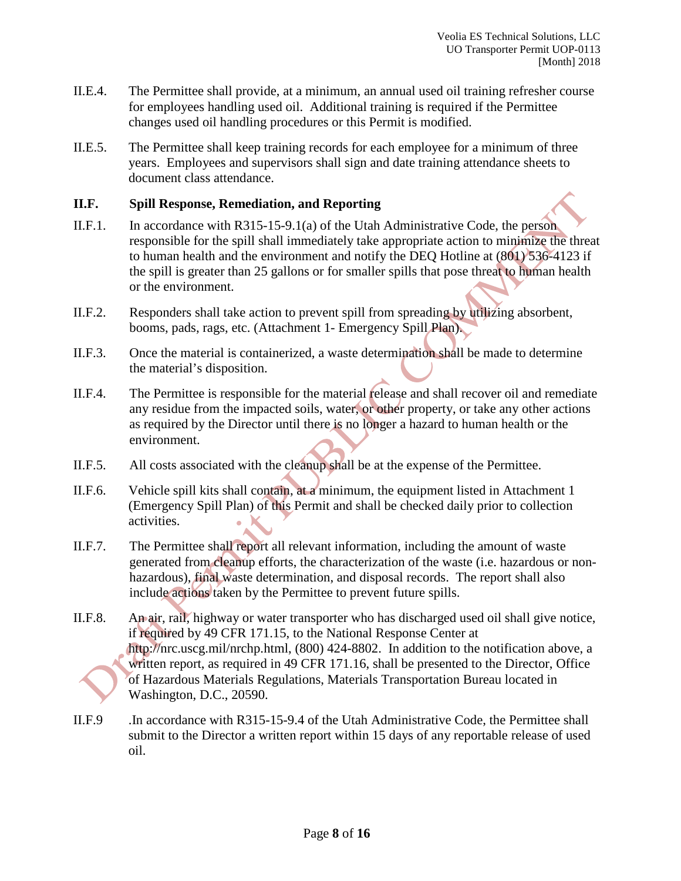- II.E.4. The Permittee shall provide, at a minimum, an annual used oil training refresher course for employees handling used oil. Additional training is required if the Permittee changes used oil handling procedures or this Permit is modified.
- II.E.5. The Permittee shall keep training records for each employee for a minimum of three years. Employees and supervisors shall sign and date training attendance sheets to document class attendance.

#### **II.F. Spill Response, Remediation, and Reporting**

- II.F.1. In accordance with R315-15-9.1(a) of the Utah Administrative Code, the person responsible for the spill shall immediately take appropriate action to minimize the threat to human health and the environment and notify the DEQ Hotline at (801) 536-4123 if the spill is greater than 25 gallons or for smaller spills that pose threat to human health or the environment.
- II.F.2. Responders shall take action to prevent spill from spreading by utilizing absorbent, booms, pads, rags, etc. (Attachment 1- Emergency Spill Plan).
- II.F.3. Once the material is containerized, a waste determination shall be made to determine the material's disposition.
- II.F.4. The Permittee is responsible for the material release and shall recover oil and remediate any residue from the impacted soils, water, or other property, or take any other actions as required by the Director until there is no longer a hazard to human health or the environment.
- II.F.5. All costs associated with the cleanup shall be at the expense of the Permittee.
- II.F.6. Vehicle spill kits shall contain, at a minimum, the equipment listed in Attachment 1 (Emergency Spill Plan) of this Permit and shall be checked daily prior to collection activities.
- II.F.7. The Permittee shall report all relevant information, including the amount of waste generated from cleanup efforts, the characterization of the waste (i.e. hazardous or nonhazardous), final waste determination, and disposal records. The report shall also include actions taken by the Permittee to prevent future spills.
- II.F.8. An air, rail, highway or water transporter who has discharged used oil shall give notice, if required by 49 CFR 171.15, to the National Response Center at http://nrc.uscg.mil/nrchp.html, (800) 424-8802. In addition to the notification above, a written report, as required in 49 CFR 171.16, shall be presented to the Director, Office of Hazardous Materials Regulations, Materials Transportation Bureau located in Washington, D.C., 20590.
- II.F.9 .In accordance with R315-15-9.4 of the Utah Administrative Code, the Permittee shall submit to the Director a written report within 15 days of any reportable release of used oil.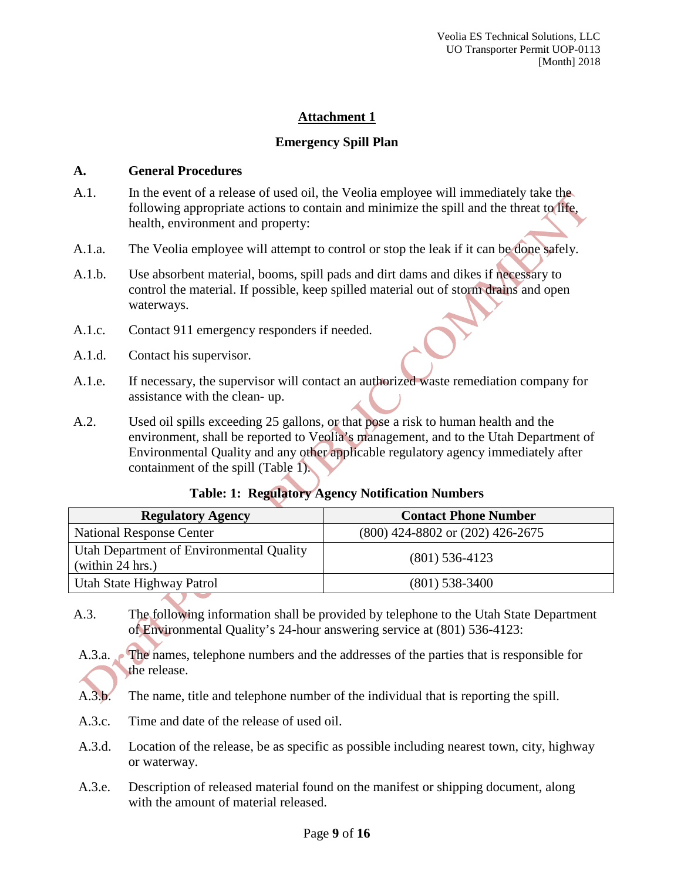#### **Emergency Spill Plan**

#### **A. General Procedures**

- A.1. In the event of a release of used oil, the Veolia employee will immediately take the following appropriate actions to contain and minimize the spill and the threat to life, health, environment and property:
- A.1.a. The Veolia employee will attempt to control or stop the leak if it can be done safely.
- A.1.b. Use absorbent material, booms, spill pads and dirt dams and dikes if necessary to control the material. If possible, keep spilled material out of storm drains and open waterways.
- A.1.c. Contact 911 emergency responders if needed.
- A.1.d. Contact his supervisor.
- A.1.e. If necessary, the supervisor will contact an authorized waste remediation company for assistance with the clean- up.
- A.2. Used oil spills exceeding 25 gallons, or that pose a risk to human health and the environment, shall be reported to Veolia's management, and to the Utah Department of Environmental Quality and any other applicable regulatory agency immediately after containment of the spill (Table 1).

| <b>Regulatory Agency</b>                                     | <b>Contact Phone Number</b>          |
|--------------------------------------------------------------|--------------------------------------|
| <b>National Response Center</b>                              | $(800)$ 424-8802 or $(202)$ 426-2675 |
| Utah Department of Environmental Quality<br>(within 24 hrs.) | $(801)$ 536-4123                     |
| Utah State Highway Patrol                                    | $(801)$ 538-3400                     |

#### **Table: 1: Regulatory Agency Notification Numbers**

- A.3. The following information shall be provided by telephone to the Utah State Department of Environmental Quality's 24-hour answering service at (801) 536-4123:
- A.3.a. The names, telephone numbers and the addresses of the parties that is responsible for the release.
- A.3.b. The name, title and telephone number of the individual that is reporting the spill.
- A.3.c. Time and date of the release of used oil.
- A.3.d. Location of the release, be as specific as possible including nearest town, city, highway or waterway.
- A.3.e. Description of released material found on the manifest or shipping document, along with the amount of material released.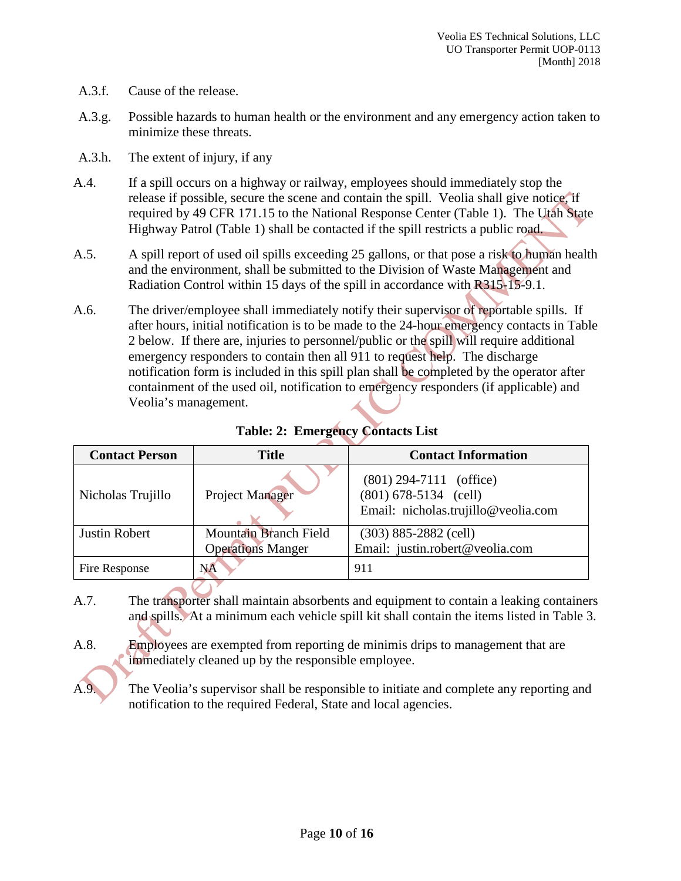- A.3.f. Cause of the release.
- A.3.g. Possible hazards to human health or the environment and any emergency action taken to minimize these threats.
- A.3.h. The extent of injury, if any
- A.4. If a spill occurs on a highway or railway, employees should immediately stop the release if possible, secure the scene and contain the spill. Veolia shall give notice, if required by 49 CFR 171.15 to the National Response Center (Table 1). The Utah State Highway Patrol (Table 1) shall be contacted if the spill restricts a public road.
- A.5. A spill report of used oil spills exceeding 25 gallons, or that pose a risk to human health and the environment, shall be submitted to the Division of Waste Management and Radiation Control within 15 days of the spill in accordance with R315-15-9.1.
- A.6. The driver/employee shall immediately notify their supervisor of reportable spills. If after hours, initial notification is to be made to the 24-hour emergency contacts in Table 2 below. If there are, injuries to personnel/public or the spill will require additional emergency responders to contain then all 911 to request help. The discharge notification form is included in this spill plan shall be completed by the operator after containment of the used oil, notification to emergency responders (if applicable) and Veolia's management.

| <b>Contact Person</b> | <b>Title</b>                 | <b>Contact Information</b>                                                                  |  |
|-----------------------|------------------------------|---------------------------------------------------------------------------------------------|--|
| Nicholas Trujillo     | Project Manager              | $(801)$ 294-7111 (office)<br>$(801)$ 678-5134 (cell)<br>Email: nicholas.trujillo@veolia.com |  |
| Justin Robert         | <b>Mountain Branch Field</b> | $(303)$ 885-2882 (cell)                                                                     |  |
|                       | <b>Operations Manger</b>     | Email: justin.robert@veolia.com                                                             |  |
| Fire Response         | <b>NA</b>                    | 911                                                                                         |  |

**Table: 2: Emergency Contacts List**

- A.7. The transporter shall maintain absorbents and equipment to contain a leaking containers and spills. At a minimum each vehicle spill kit shall contain the items listed in Table 3.
- A.8. Employees are exempted from reporting de minimis drips to management that are immediately cleaned up by the responsible employee.
	- The Veolia's supervisor shall be responsible to initiate and complete any reporting and notification to the required Federal, State and local agencies.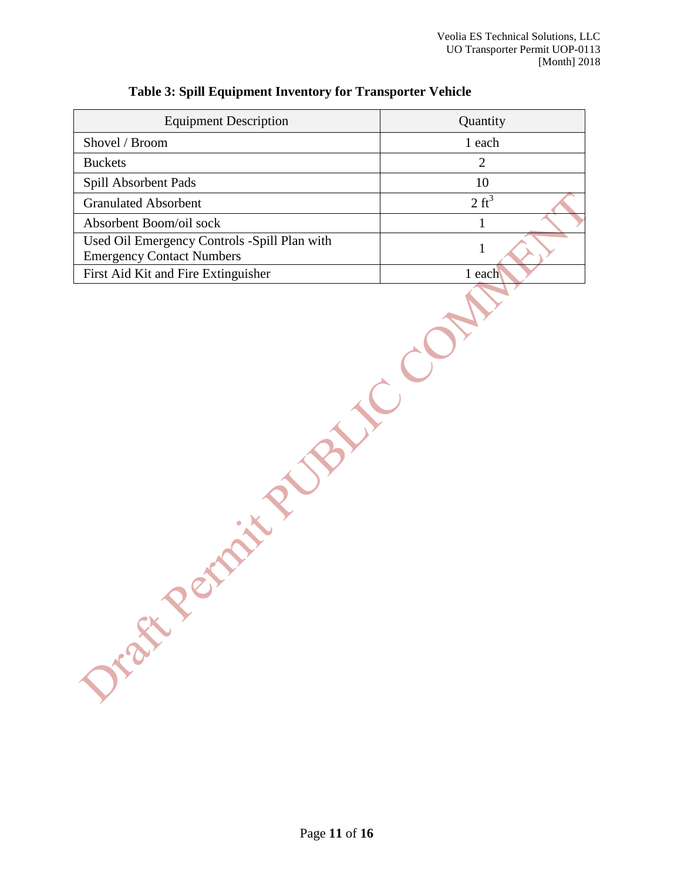| <b>Equipment Description</b>                                                     | Quantity         |
|----------------------------------------------------------------------------------|------------------|
| Shovel / Broom                                                                   | 1 each           |
| <b>Buckets</b>                                                                   | 2                |
| Spill Absorbent Pads                                                             | 10               |
| <b>Granulated Absorbent</b>                                                      | $2 \text{ ft}^3$ |
| Absorbent Boom/oil sock                                                          |                  |
| Used Oil Emergency Controls -Spill Plan with<br><b>Emergency Contact Numbers</b> |                  |
| First Aid Kit and Fire Extinguisher                                              | each             |

# **Table 3: Spill Equipment Inventory for Transporter Vehicle**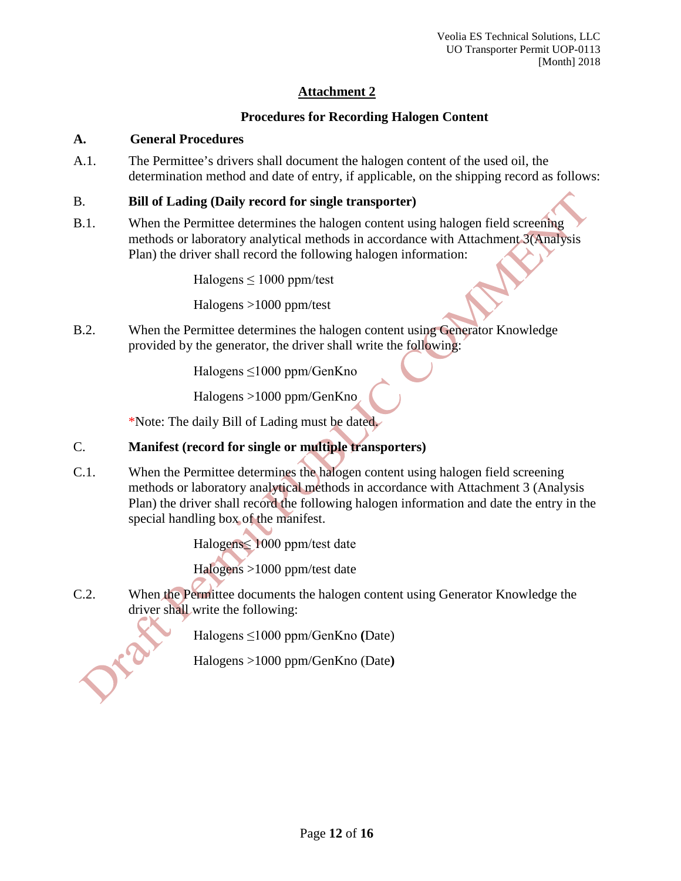# **Procedures for Recording Halogen Content**

# **A. General Procedures**

A.1. The Permittee's drivers shall document the halogen content of the used oil, the determination method and date of entry, if applicable, on the shipping record as follows:

# B. **Bill of Lading (Daily record for single transporter)**

B.1. When the Permittee determines the halogen content using halogen field screening methods or laboratory analytical methods in accordance with Attachment 3(Analysis Plan) the driver shall record the following halogen information:

Halogens  $\leq 1000$  ppm/test

Halogens >1000 ppm/test

B.2. When the Permittee determines the halogen content using Generator Knowledge provided by the generator, the driver shall write the following:

Halogens ≤1000 ppm/GenKno

Halogens >1000 ppm/GenKno

\*Note: The daily Bill of Lading must be dated.

# C. **Manifest (record for single or multiple transporters)**

C.1. When the Permittee determines the halogen content using halogen field screening methods or laboratory analytical methods in accordance with Attachment 3 (Analysis Plan) the driver shall record the following halogen information and date the entry in the special handling box of the manifest.

Halogens≤ 1000 ppm/test date

Halogens >1000 ppm/test date

C.2. When the Permittee documents the halogen content using Generator Knowledge the driver shall write the following:

Halogens ≤1000 ppm/GenKno **(**Date)

Halogens >1000 ppm/GenKno (Date**)**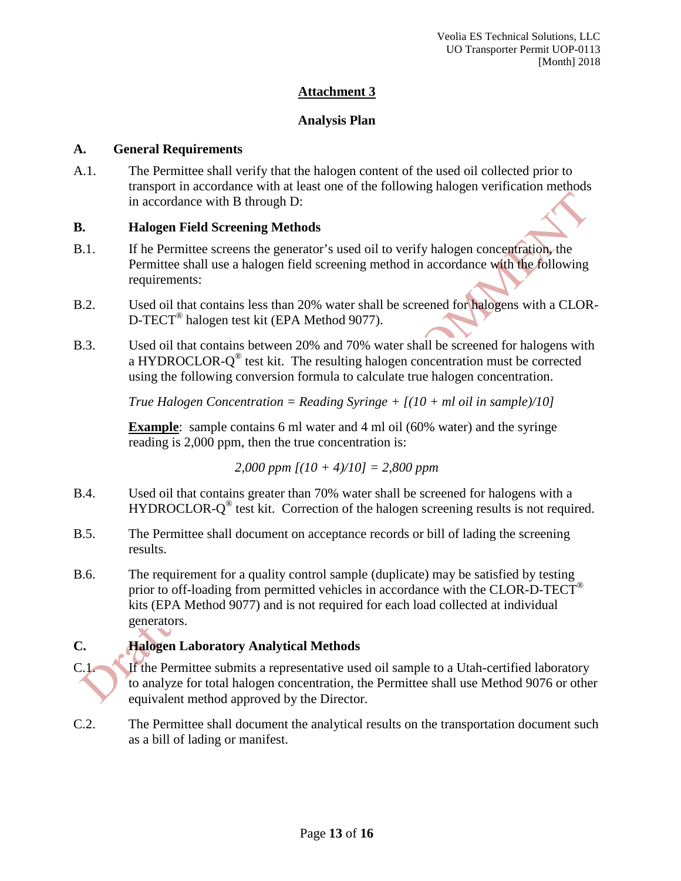#### **Analysis Plan**

#### **A. General Requirements**

A.1. The Permittee shall verify that the halogen content of the used oil collected prior to transport in accordance with at least one of the following halogen verification methods in accordance with B through D:

#### **B. Halogen Field Screening Methods**

- B.1. If he Permittee screens the generator's used oil to verify halogen concentration, the Permittee shall use a halogen field screening method in accordance with the following requirements:
- B.2. Used oil that contains less than 20% water shall be screened for halogens with a CLOR-D-TECT® halogen test kit (EPA Method 9077).
- B.3. Used oil that contains between 20% and 70% water shall be screened for halogens with a HYDROCLOR- $Q^{\circledast}$  test kit. The resulting halogen concentration must be corrected using the following conversion formula to calculate true halogen concentration.

*True Halogen Concentration = Reading Syringe + [(10 + ml oil in sample)/10]*

**Example**: sample contains 6 ml water and 4 ml oil (60% water) and the syringe reading is 2,000 ppm, then the true concentration is:

*2,000 ppm [(10 + 4)/10] = 2,800 ppm*

- B.4. Used oil that contains greater than 70% water shall be screened for halogens with a HYDROCLOR-Q<sup>®</sup> test kit. Correction of the halogen screening results is not required.
- B.5. The Permittee shall document on acceptance records or bill of lading the screening results.
- B.6. The requirement for a quality control sample (duplicate) may be satisfied by testing prior to off-loading from permitted vehicles in accordance with the CLOR-D-TECT<sup>®</sup> kits (EPA Method 9077) and is not required for each load collected at individual generators.

# **C. Halogen Laboratory Analytical Methods**

C.1. If the Permittee submits a representative used oil sample to a Utah-certified laboratory to analyze for total halogen concentration, the Permittee shall use Method 9076 or other equivalent method approved by the Director.

C.2. The Permittee shall document the analytical results on the transportation document such as a bill of lading or manifest.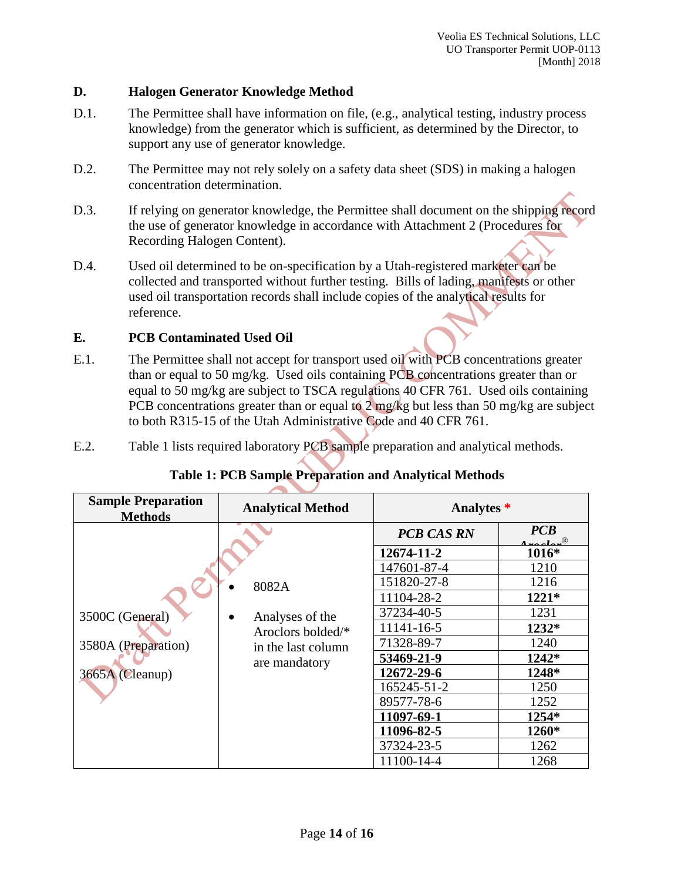#### **D. Halogen Generator Knowledge Method**

- D.1. The Permittee shall have information on file, (e.g., analytical testing, industry process knowledge) from the generator which is sufficient, as determined by the Director, to support any use of generator knowledge.
- D.2. The Permittee may not rely solely on a safety data sheet (SDS) in making a halogen concentration determination.
- D.3. If relying on generator knowledge, the Permittee shall document on the shipping record the use of generator knowledge in accordance with Attachment 2 (Procedures for Recording Halogen Content).
- D.4. Used oil determined to be on-specification by a Utah-registered marketer can be collected and transported without further testing. Bills of lading, manifests or other used oil transportation records shall include copies of the analytical results for reference.

#### **E. PCB Contaminated Used Oil**

- E.1. The Permittee shall not accept for transport used oil with PCB concentrations greater than or equal to 50 mg/kg. Used oils containing PCB concentrations greater than or equal to 50 mg/kg are subject to TSCA regulations 40 CFR 761. Used oils containing PCB concentrations greater than or equal to  $2 \text{ mg/kg}$  but less than 50 mg/kg are subject to both R315-15 of the Utah Administrative Code and 40 CFR 761.
- E.2. Table 1 lists required laboratory PCB sample preparation and analytical methods.

| <b>Sample Preparation</b><br><b>Methods</b>                                                                                                       | <b>Analytical Method</b> | Analytes *        |          |
|---------------------------------------------------------------------------------------------------------------------------------------------------|--------------------------|-------------------|----------|
|                                                                                                                                                   |                          | <b>PCB CAS RN</b> | PCB<br>1 |
| 8082A<br>3500C (General)<br>Analyses of the<br>Aroclors bolded/*<br>3580A (Preparation)<br>in the last column<br>are mandatory<br>3665A (Cleanup) |                          | 12674-11-2        | 1016*    |
|                                                                                                                                                   |                          | 147601-87-4       | 1210     |
|                                                                                                                                                   |                          | 151820-27-8       | 1216     |
|                                                                                                                                                   |                          | 11104-28-2        | $1221*$  |
|                                                                                                                                                   |                          | 37234-40-5        | 1231     |
|                                                                                                                                                   |                          | 11141-16-5        | 1232*    |
|                                                                                                                                                   |                          | 71328-89-7        | 1240     |
|                                                                                                                                                   |                          | 53469-21-9        | 1242*    |
|                                                                                                                                                   |                          | 12672-29-6        | 1248*    |
|                                                                                                                                                   |                          | 165245-51-2       | 1250     |
|                                                                                                                                                   |                          | 89577-78-6        | 1252     |
|                                                                                                                                                   |                          | 11097-69-1        | 1254*    |
|                                                                                                                                                   |                          | 11096-82-5        | 1260*    |
|                                                                                                                                                   |                          | 37324-23-5        | 1262     |
|                                                                                                                                                   |                          | 11100-14-4        | 1268     |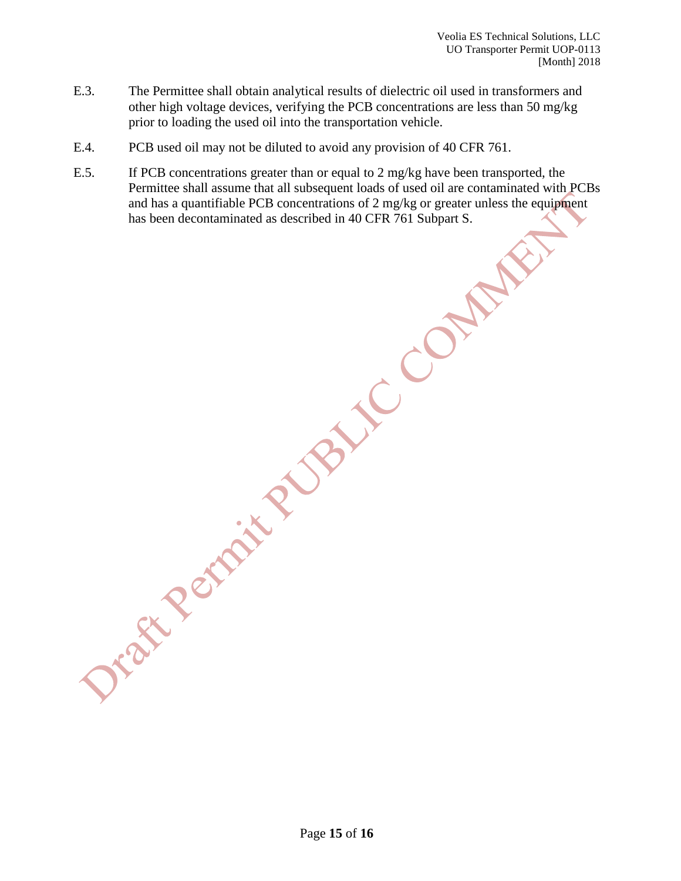- E.3. The Permittee shall obtain analytical results of dielectric oil used in transformers and other high voltage devices, verifying the PCB concentrations are less than 50 mg/kg prior to loading the used oil into the transportation vehicle.
- E.4. PCB used oil may not be diluted to avoid any provision of 40 CFR 761.
- E.5. If PCB concentrations greater than or equal to 2 mg/kg have been transported, the Permittee shall assume that all subsequent loads of used oil are contaminated with PCBs and has a quantifiable PCB concentrations of 2 mg/kg or greater unless the equipment has been decontaminated as described in 40 CFR 761 Subpart S.

Page **15** of **16**